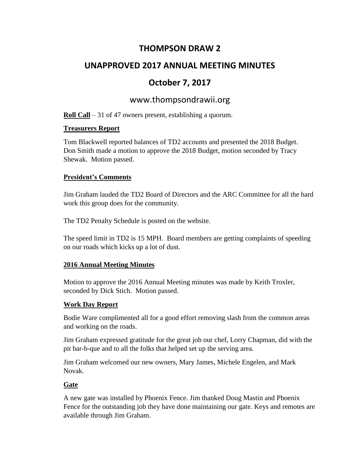## **THOMPSON DRAW 2**

# **UNAPPROVED 2017 ANNUAL MEETING MINUTES**

# **October 7, 2017**

## www.thompsondrawii.org

**Roll Call** – 31 of 47 owners present, establishing a quorum.

### **Treasurers Report**

Tom Blackwell reported balances of TD2 accounts and presented the 2018 Budget. Don Smith made a motion to approve the 2018 Budget, motion seconded by Tracy Shewak. Motion passed.

### **President's Comments**

Jim Graham lauded the TD2 Board of Directors and the ARC Committee for all the hard work this group does for the community.

The TD2 Penalty Schedule is posted on the website.

The speed limit in TD2 is 15 MPH. Board members are getting complaints of speeding on our roads which kicks up a lot of dust.

## **2016 Annual Meeting Minutes**

Motion to approve the 2016 Annual Meeting minutes was made by Keith Troxler, seconded by Dick Stich. Motion passed.

## **Work Day Report**

Bodie Ware complimented all for a good effort removing slash from the common areas and working on the roads.

Jim Graham expressed gratitude for the great job our chef, Lorry Chapman, did with the pit bar-b-que and to all the folks that helped set up the serving area.

Jim Graham welcomed our new owners, Mary James, Michele Engelen, and Mark Novak.

## **Gate**

A new gate was installed by Phoenix Fence. Jim thanked Doug Mastin and Phoenix Fence for the outstanding job they have done maintaining our gate. Keys and remotes are available through Jim Graham.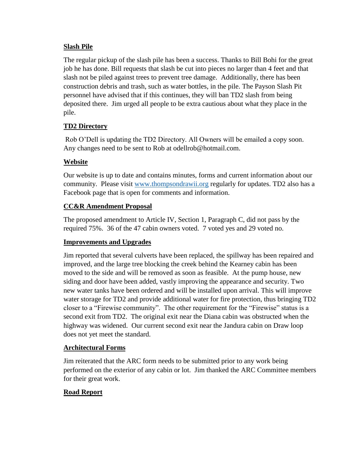### **Slash Pile**

The regular pickup of the slash pile has been a success. Thanks to Bill Bohi for the great job he has done. Bill requests that slash be cut into pieces no larger than 4 feet and that slash not be piled against trees to prevent tree damage. Additionally, there has been construction debris and trash, such as water bottles, in the pile. The Payson Slash Pit personnel have advised that if this continues, they will ban TD2 slash from being deposited there. Jim urged all people to be extra cautious about what they place in the pile.

## **TD2 Directory**

Rob O'Dell is updating the TD2 Directory. All Owners will be emailed a copy soon. Any changes need to be sent to Rob at odellrob@hotmail.com.

## **Website**

Our website is up to date and contains minutes, forms and current information about our community. Please visit [www.thompsondrawii.org](http://www.thompsondrawii.org/) regularly for updates. TD2 also has a Facebook page that is open for comments and information.

### **CC&R Amendment Proposal**

The proposed amendment to Article IV, Section 1, Paragraph C, did not pass by the required 75%. 36 of the 47 cabin owners voted. 7 voted yes and 29 voted no.

#### **Improvements and Upgrades**

Jim reported that several culverts have been replaced, the spillway has been repaired and improved, and the large tree blocking the creek behind the Kearney cabin has been moved to the side and will be removed as soon as feasible. At the pump house, new siding and door have been added, vastly improving the appearance and security. Two new water tanks have been ordered and will be installed upon arrival. This will improve water storage for TD2 and provide additional water for fire protection, thus bringing TD2 closer to a "Firewise community". The other requirement for the "Firewise" status is a second exit from TD2. The original exit near the Diana cabin was obstructed when the highway was widened. Our current second exit near the Jandura cabin on Draw loop does not yet meet the standard.

#### **Architectural Forms**

Jim reiterated that the ARC form needs to be submitted prior to any work being performed on the exterior of any cabin or lot. Jim thanked the ARC Committee members for their great work.

## **Road Report**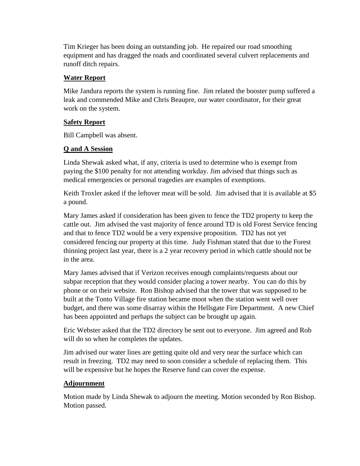Tim Krieger has been doing an outstanding job. He repaired our road smoothing equipment and has dragged the roads and coordinated several culvert replacements and runoff ditch repairs.

#### **Water Report**

Mike Jandura reports the system is running fine. Jim related the booster pump suffered a leak and commended Mike and Chris Beaupre, our water coordinator, for their great work on the system.

### **Safety Report**

Bill Campbell was absent.

## **Q and A Session**

Linda Shewak asked what, if any, criteria is used to determine who is exempt from paying the \$100 penalty for not attending workday. Jim advised that things such as medical emergencies or personal tragedies are examples of exemptions.

Keith Troxler asked if the leftover meat will be sold. Jim advised that it is available at \$5 a pound.

Mary James asked if consideration has been given to fence the TD2 property to keep the cattle out. Jim advised the vast majority of fence around TD is old Forest Service fencing and that to fence TD2 would be a very expensive proposition. TD2 has not yet considered fencing our property at this time. Judy Fishman stated that due to the Forest thinning project last year, there is a 2 year recovery period in which cattle should not be in the area.

Mary James advised that if Verizon receives enough complaints/requests about our subpar reception that they would consider placing a tower nearby. You can do this by phone or on their website. Ron Bishop advised that the tower that was supposed to be built at the Tonto Village fire station became moot when the station went well over budget, and there was some disarray within the Hellsgate Fire Department. A new Chief has been appointed and perhaps the subject can be brought up again.

Eric Webster asked that the TD2 directory be sent out to everyone. Jim agreed and Rob will do so when he completes the updates.

Jim advised our water lines are getting quite old and very near the surface which can result in freezing. TD2 may need to soon consider a schedule of replacing them. This will be expensive but he hopes the Reserve fund can cover the expense.

#### **Adjournment**

Motion made by Linda Shewak to adjourn the meeting. Motion seconded by Ron Bishop. Motion passed.